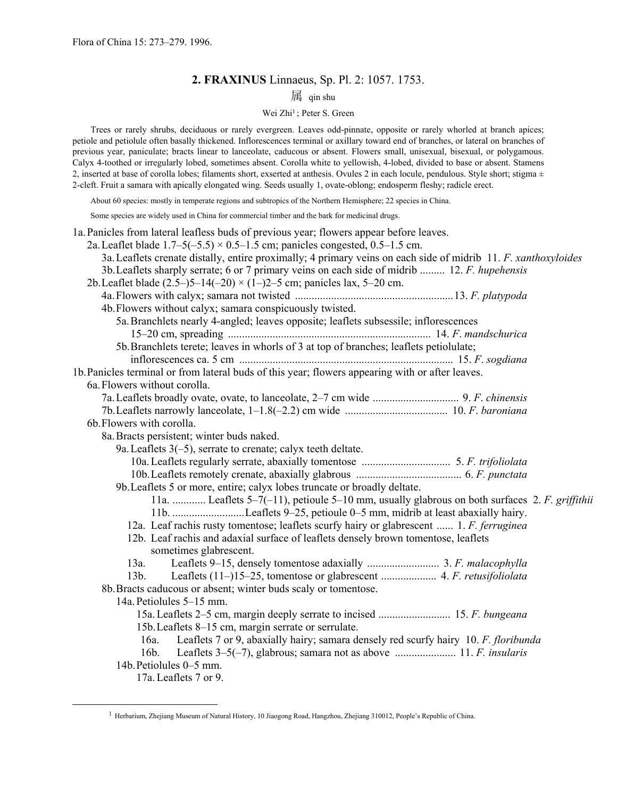# **2. FRAXINUS** Linnaeus, Sp. Pl. 2: 1057. 1753.

# 属 qin shu

### Wei Zhi<sup>1</sup>; Peter S. Green

 Trees or rarely shrubs, deciduous or rarely evergreen. Leaves odd-pinnate, opposite or rarely whorled at branch apices; petiole and petiolule often basally thickened. Inflorescences terminal or axillary toward end of branches, or lateral on branches of previous year, paniculate; bracts linear to lanceolate, caducous or absent. Flowers small, unisexual, bisexual, or polygamous. Calyx 4-toothed or irregularly lobed, sometimes absent. Corolla white to yellowish, 4-lobed, divided to base or absent. Stamens 2, inserted at base of corolla lobes; filaments short, exserted at anthesis. Ovules 2 in each locule, pendulous. Style short; stigma  $\pm$ 2-cleft. Fruit a samara with apically elongated wing. Seeds usually 1, ovate-oblong; endosperm fleshy; radicle erect.

About 60 species: mostly in temperate regions and subtropics of the Northern Hemisphere; 22 species in China.

Some species are widely used in China for commercial timber and the bark for medicinal drugs.

| 1a. Panicles from lateral leafless buds of previous year; flowers appear before leaves.                                                                                                              |
|------------------------------------------------------------------------------------------------------------------------------------------------------------------------------------------------------|
| 2a. Leaflet blade $1.7-5(-5.5) \times 0.5-1.5$ cm; panicles congested, 0.5-1.5 cm.<br>3a. Leaflets crenate distally, entire proximally; 4 primary veins on each side of midrib 11. F. xanthoxyloides |
| 3b. Leaflets sharply serrate; 6 or 7 primary veins on each side of midrib  12. F. hupehensis                                                                                                         |
| 2b. Leaflet blade $(2.5-5-14(-20) \times (1-2-5)$ cm; panicles lax, 5-20 cm.                                                                                                                         |
|                                                                                                                                                                                                      |
| 4b. Flowers without calyx; samara conspicuously twisted.                                                                                                                                             |
| 5a. Branchlets nearly 4-angled; leaves opposite; leaflets subsessile; inflorescences                                                                                                                 |
|                                                                                                                                                                                                      |
| 5b. Branchlets terete; leaves in whorls of 3 at top of branches; leaflets petiolulate;                                                                                                               |
|                                                                                                                                                                                                      |
| 1b. Panicles terminal or from lateral buds of this year; flowers appearing with or after leaves.                                                                                                     |
| 6a. Flowers without corolla.                                                                                                                                                                         |
|                                                                                                                                                                                                      |
|                                                                                                                                                                                                      |
| 6b. Flowers with corolla.                                                                                                                                                                            |
| 8a. Bracts persistent; winter buds naked.                                                                                                                                                            |
| 9a. Leaflets $3(-5)$ , serrate to crenate; calyx teeth deltate.                                                                                                                                      |
|                                                                                                                                                                                                      |
|                                                                                                                                                                                                      |
| 9b. Leaflets 5 or more, entire; calyx lobes truncate or broadly deltate.                                                                                                                             |
| 11a.  Leaflets 5–7(-11), petioule 5–10 mm, usually glabrous on both surfaces 2. F. griffithii                                                                                                        |
| 12a. Leaf rachis rusty tomentose; leaflets scurfy hairy or glabrescent  1. F. ferruginea                                                                                                             |
| 12b. Leaf rachis and adaxial surface of leaflets densely brown tomentose, leaflets                                                                                                                   |
| sometimes glabrescent.                                                                                                                                                                               |
| 13a.                                                                                                                                                                                                 |
| 13 <sub>b</sub>                                                                                                                                                                                      |
| 8b. Bracts caducous or absent; winter buds scaly or tomentose.                                                                                                                                       |
| 14a. Petiolules 5–15 mm.                                                                                                                                                                             |
|                                                                                                                                                                                                      |
| 15b. Leaflets 8–15 cm, margin serrate or serrulate.                                                                                                                                                  |
| Leaflets 7 or 9, abaxially hairy; samara densely red scurfy hairy 10. F. floribunda<br>$16a$ .                                                                                                       |
| $16b$ .                                                                                                                                                                                              |
| 14b. Petiolules 0–5 mm.                                                                                                                                                                              |
| 17a. Leaflets 7 or 9.                                                                                                                                                                                |

<span id="page-0-0"></span> <sup>1</sup> Herbarium, Zhejiang Museum of Natural History, 10 Jiaogong Road, Hangzhou, Zhejiang 310012, People's Republic of China.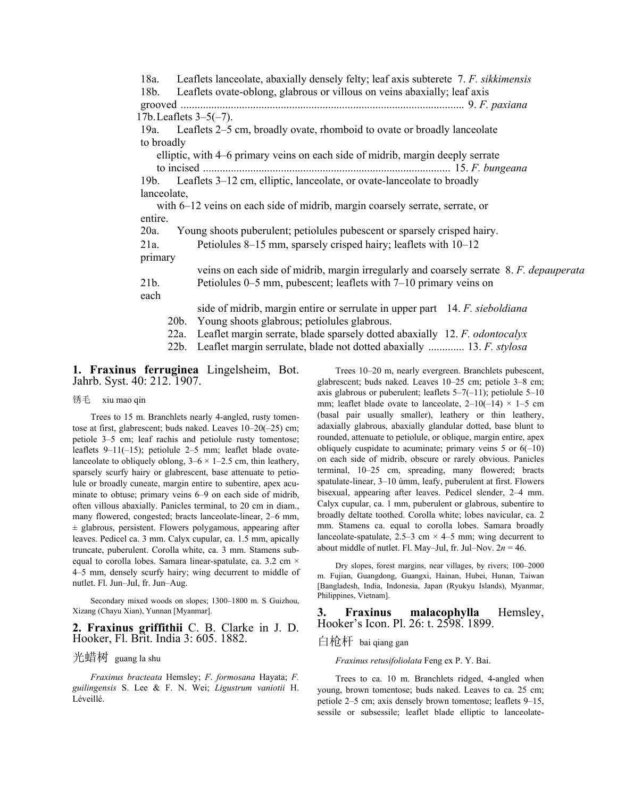18a. Leaflets lanceolate, abaxially densely felty; leaf axis subterete 7. *F. sikkimensis* 18b. Leaflets ovate-oblong, glabrous or villous on veins abaxially; leaf axis grooved ...................................................................................................... 9. *F. paxiana* 17b. Leaflets 3–5(–7). 19a. Leaflets 2–5 cm, broadly ovate, rhomboid to ovate or broadly lanceolate to broadly elliptic, with 4–6 primary veins on each side of midrib, margin deeply serrate to incised ......................................................................................... 15. *F. bungeana*  19b. Leaflets 3–12 cm, elliptic, lanceolate, or ovate-lanceolate to broadly lanceolate, with 6–12 veins on each side of midrib, margin coarsely serrate, serrate, or entire. 20a. Young shoots puberulent; petiolules pubescent or sparsely crisped hairy. 21a. Petiolules 8–15 mm, sparsely crisped hairy; leaflets with 10–12 primary veins on each side of midrib, margin irregularly and coarsely serrate 8. *F. depauperata* 21b. Petiolules 0–5 mm, pubescent; leaflets with 7–10 primary veins on each side of midrib, margin entire or serrulate in upper part 14. *F. sieboldiana* 20b. Young shoots glabrous; petiolules glabrous. 22a. Leaflet margin serrate, blade sparsely dotted abaxially 12. *F. odontocalyx* 22b. Leaflet margin serrulate, blade not dotted abaxially ............. 13. *F. stylosa*

**1. Fraxinus ferruginea** Lingelsheim, Bot. Jahrb. Syst. 40: 212. 1907.

#### 锈毛 xiu mao qin

 Trees to 15 m. Branchlets nearly 4-angled, rusty tomentose at first, glabrescent; buds naked. Leaves 10–20(–25) cm; petiole 3–5 cm; leaf rachis and petiolule rusty tomentose; leaflets 9–11(–15); petiolule 2–5 mm; leaflet blade ovatelanceolate to obliquely oblong,  $3-6 \times 1-2.5$  cm, thin leathery, sparsely scurfy hairy or glabrescent, base attenuate to petiolule or broadly cuneate, margin entire to subentire, apex acuminate to obtuse; primary veins 6–9 on each side of midrib, often villous abaxially. Panicles terminal, to 20 cm in diam., many flowered, congested; bracts lanceolate-linear, 2–6 mm,  $\pm$  glabrous, persistent. Flowers polygamous, appearing after leaves. Pedicel ca. 3 mm. Calyx cupular, ca. 1.5 mm, apically truncate, puberulent. Corolla white, ca. 3 mm. Stamens subequal to corolla lobes. Samara linear-spatulate, ca. 3.2 cm × 4–5 mm, densely scurfy hairy; wing decurrent to middle of nutlet. Fl. Jun–Jul, fr. Jun–Aug.

 Secondary mixed woods on slopes; 1300–1800 m. S Guizhou, Xizang (Chayu Xian), Yunnan [Myanmar].

### **2. Fraxinus griffithii** C. B. Clarke in J. D. Hooker, Fl. Brit. India 3: 605. 1882.

#### 光蜡树 guang la shu

 *Fraxinus bracteata* Hemsley; *F*. *formosana* Hayata; *F. guilingensis* S. Lee & F. N. Wei; *Ligustrum vaniotii* H. Léveillé.

 Trees 10–20 m, nearly evergreen. Branchlets pubescent, glabrescent; buds naked. Leaves 10–25 cm; petiole 3–8 cm; axis glabrous or puberulent; leaflets  $5-7(-11)$ ; petiolule  $5-10$ mm; leaflet blade ovate to lanceolate,  $2-10(-14) \times 1-5$  cm (basal pair usually smaller), leathery or thin leathery, adaxially glabrous, abaxially glandular dotted, base blunt to rounded, attenuate to petiolule, or oblique, margin entire, apex obliquely cuspidate to acuminate; primary veins  $5$  or  $6(-10)$ on each side of midrib, obscure or rarely obvious. Panicles terminal, 10–25 cm, spreading, many flowered; bracts spatulate-linear, 3–10 ùmm, leafy, puberulent at first. Flowers bisexual, appearing after leaves. Pedicel slender, 2–4 mm. Calyx cupular, ca. 1 mm, puberulent or glabrous, subentire to broadly deltate toothed. Corolla white; lobes navicular, ca. 2 mm. Stamens ca. equal to corolla lobes. Samara broadly lanceolate-spatulate,  $2.5-3$  cm  $\times$  4-5 mm; wing decurrent to about middle of nutlet. Fl. May–Jul, fr. Jul–Nov.  $2n = 46$ .

 Dry slopes, forest margins, near villages, by rivers; 100–2000 m. Fujian, Guangdong, Guangxi, Hainan, Hubei, Hunan, Taiwan [Bangladesh, India, Indonesia, Japan (Ryukyu Islands), Myanmar, Philippines, Vietnam].

**3. Fraxinus malacophylla** Hemsley, Hooker's Icon. Pl. 26: t. 2598. 1899.

## 白枪杆 bai qiang gan

*Fraxinus retusifoliolata* Feng ex P. Y. Bai.

 Trees to ca. 10 m. Branchlets ridged, 4-angled when young, brown tomentose; buds naked. Leaves to ca. 25 cm; petiole 2–5 cm; axis densely brown tomentose; leaflets 9–15, sessile or subsessile; leaflet blade elliptic to lanceolate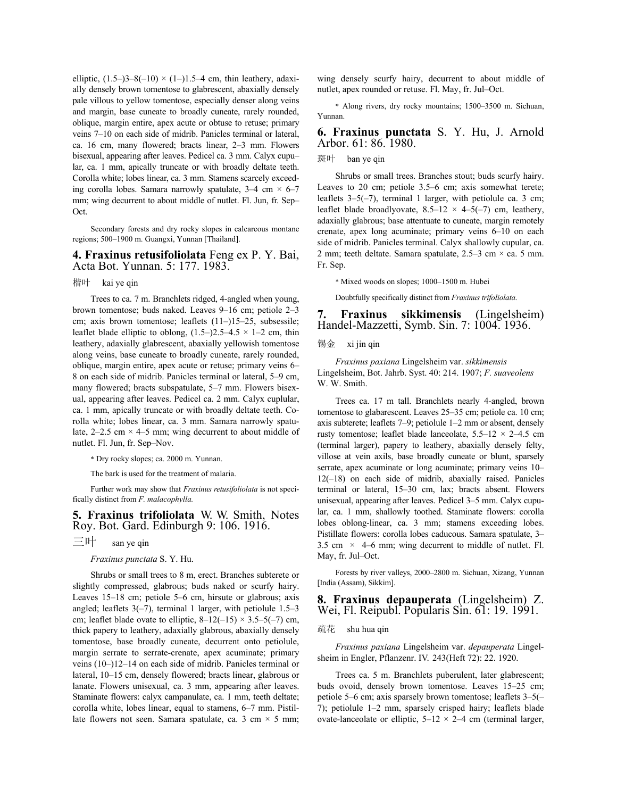elliptic,  $(1.5-3-8(-10) \times (1-1.5-4 \text{ cm}, \text{ thin leathery}, \text{adaxi}$ ally densely brown tomentose to glabrescent, abaxially densely pale villous to yellow tomentose, especially denser along veins and margin, base cuneate to broadly cuneate, rarely rounded, oblique, margin entire, apex acute or obtuse to retuse; primary veins 7–10 on each side of midrib. Panicles terminal or lateral, ca. 16 cm, many flowered; bracts linear, 2–3 mm. Flowers bisexual, appearing after leaves. Pedicel ca. 3 mm. Calyx cupu– lar, ca. 1 mm, apically truncate or with broadly deltate teeth. Corolla white; lobes linear, ca. 3 mm. Stamens scarcely exceeding corolla lobes. Samara narrowly spatulate,  $3-4$  cm  $\times$  6–7 mm; wing decurrent to about middle of nutlet. Fl. Jun, fr. Sep– Oct.

 Secondary forests and dry rocky slopes in calcareous montane regions; 500–1900 m. Guangxi, Yunnan [Thailand].

**4. Fraxinus retusifoliolata** Feng ex P. Y. Bai, Acta Bot. Yunnan. 5: 177. 1983.

#### 楷叶 kai ye qin

 Trees to ca. 7 m. Branchlets ridged, 4-angled when young, brown tomentose; buds naked. Leaves 9–16 cm; petiole 2–3 cm; axis brown tomentose; leaflets (11–)15–25, subsessile; leaflet blade elliptic to oblong,  $(1.5-2.5-4.5 \times 1-2)$  cm, thin leathery, adaxially glabrescent, abaxially yellowish tomentose along veins, base cuneate to broadly cuneate, rarely rounded, oblique, margin entire, apex acute or retuse; primary veins 6– 8 on each side of midrib. Panicles terminal or lateral, 5–9 cm, many flowered; bracts subspatulate, 5–7 mm. Flowers bisexual, appearing after leaves. Pedicel ca. 2 mm. Calyx cuplular, ca. 1 mm, apically truncate or with broadly deltate teeth. Corolla white; lobes linear, ca. 3 mm. Samara narrowly spatulate,  $2-2.5$  cm  $\times$  4–5 mm; wing decurrent to about middle of nutlet. Fl. Jun, fr. Sep–Nov.

\* Dry rocky slopes; ca. 2000 m. Yunnan.

The bark is used for the treatment of malaria.

 Further work may show that *Fraxinus retusifoliolata* is not specifically distinct from *F. malacophylla.*

**5. Fraxinus trifoliolata** W. W. Smith, Notes Roy. Bot. Gard. Edinburgh 9: 106. 1916.

## 三叶 san ye qin

#### *Fraxinus punctata* S. Y. Hu.

 Shrubs or small trees to 8 m, erect. Branches subterete or slightly compressed, glabrous; buds naked or scurfy hairy. Leaves 15–18 cm; petiole 5–6 cm, hirsute or glabrous; axis angled; leaflets 3(–7), terminal 1 larger, with petiolule 1.5–3 cm; leaflet blade ovate to elliptic,  $8-12(-15) \times 3.5-5(-7)$  cm, thick papery to leathery, adaxially glabrous, abaxially densely tomentose, base broadly cuneate, decurrent onto petiolule, margin serrate to serrate-crenate, apex acuminate; primary veins (10–)12–14 on each side of midrib. Panicles terminal or lateral, 10–15 cm, densely flowered; bracts linear, glabrous or lanate. Flowers unisexual, ca. 3 mm, appearing after leaves. Staminate flowers: calyx campanulate, ca. 1 mm, teeth deltate; corolla white, lobes linear, equal to stamens, 6–7 mm. Pistillate flowers not seen. Samara spatulate, ca. 3 cm  $\times$  5 mm; wing densely scurfy hairy, decurrent to about middle of nutlet, apex rounded or retuse. Fl. May, fr. Jul–Oct.

\* Along rivers, dry rocky mountains; 1500–3500 m. Sichuan, Yunnan.

#### **6. Fraxinus punctata** S. Y. Hu, J. Arnold Arbor. 61: 86. 1980.

斑叶 ban ye qin

 Shrubs or small trees. Branches stout; buds scurfy hairy. Leaves to 20 cm; petiole 3.5–6 cm; axis somewhat terete; leaflets  $3-5(-7)$ , terminal 1 larger, with petiolule ca. 3 cm; leaflet blade broadlyovate,  $8.5-12 \times 4-5(-7)$  cm, leathery, adaxially glabrous; base attentuate to cuneate, margin remotely crenate, apex long acuminate; primary veins 6–10 on each side of midrib. Panicles terminal. Calyx shallowly cupular, ca. 2 mm; teeth deltate. Samara spatulate, 2.5–3 cm × ca. 5 mm. Fr. Sep.

\* Mixed woods on slopes; 1000–1500 m. Hubei

Doubtfully specifically distinct from *Fraxinus trifoliolata.*

**7. Fraxinus sikkimensis** (Lingelsheim) Handel-Mazzetti, Symb. Sin. 7: 1004. 1936.

#### 锡金 xi jin qin

*Fraxinus paxiana* Lingelsheim var. *sikkimensis* Lingelsheim, Bot. Jahrb. Syst. 40: 214. 1907; *F. suaveolens*  W. W. Smith.

 Trees ca. 17 m tall. Branchlets nearly 4-angled, brown tomentose to glabarescent. Leaves 25–35 cm; petiole ca. 10 cm; axis subterete; leaflets 7–9; petiolule 1–2 mm or absent, densely rusty tomentose; leaflet blade lanceolate,  $5.5-12 \times 2-4.5$  cm (terminal larger), papery to leathery, abaxially densely felty, villose at vein axils, base broadly cuneate or blunt, sparsely serrate, apex acuminate or long acuminate; primary veins 10– 12(–18) on each side of midrib, abaxially raised. Panicles terminal or lateral, 15–30 cm, lax; bracts absent. Flowers unisexual, appearing after leaves. Pedicel 3–5 mm. Calyx cupular, ca. 1 mm, shallowly toothed. Staminate flowers: corolla lobes oblong-linear, ca. 3 mm; stamens exceeding lobes. Pistillate flowers: corolla lobes caducous. Samara spatulate, 3– 3.5 cm  $\times$  4–6 mm; wing decurrent to middle of nutlet. Fl. May, fr. Jul–Oct.

 Forests by river valleys, 2000–2800 m. Sichuan, Xizang, Yunnan [India (Assam), Sikkim].

**8. Fraxinus depauperata** (Lingelsheim) Z. Wei, Fl. Reipubl. Popularis Sin. 61: 19. 1991.

#### 疏花 shu hua qin

*Fraxinus paxiana* Lingelsheim var. *depauperata* Lingelsheim in Engler, Pflanzenr. IV. 243(Heft 72): 22. 1920.

 Trees ca. 5 m. Branchlets puberulent, later glabrescent; buds ovoid, densely brown tomentose. Leaves 15–25 cm; petiole 5–6 cm; axis sparsely brown tomentose; leaflets 3–5(– 7); petiolule 1–2 mm, sparsely crisped hairy; leaflets blade ovate-lanceolate or elliptic,  $5-12 \times 2-4$  cm (terminal larger,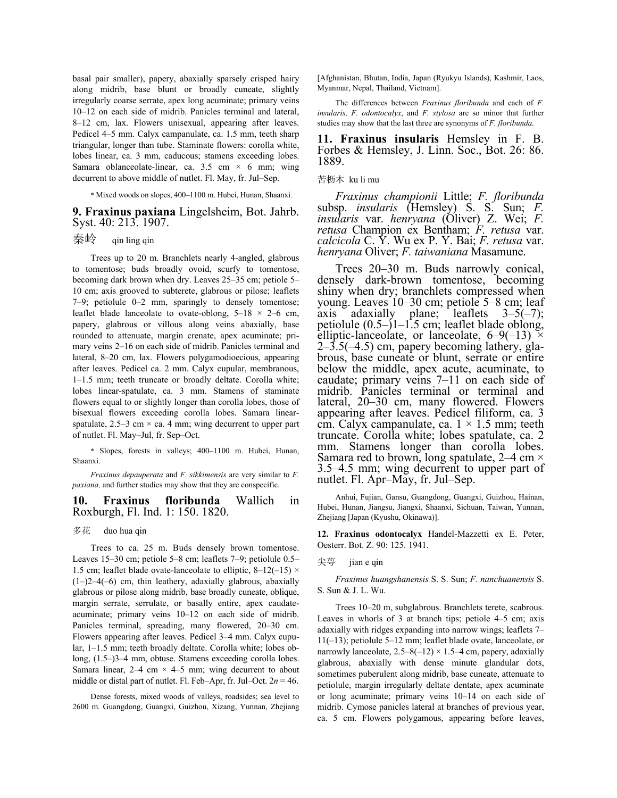basal pair smaller), papery, abaxially sparsely crisped hairy along midrib, base blunt or broadly cuneate, slightly irregularly coarse serrate, apex long acuminate; primary veins 10–12 on each side of midrib. Panicles terminal and lateral, 8–12 cm, lax. Flowers unisexual, appearing after leaves. Pedicel 4–5 mm. Calyx campanulate, ca. 1.5 mm, teeth sharp triangular, longer than tube. Staminate flowers: corolla white, lobes linear, ca. 3 mm, caducous; stamens exceeding lobes. Samara oblanceolate-linear, ca. 3.5 cm  $\times$  6 mm; wing decurrent to above middle of nutlet. Fl. May, fr. Jul–Sep.

\* Mixed woods on slopes, 400–1100 m. Hubei, Hunan, Shaanxi.

#### **9. Fraxinus paxiana** Lingelsheim, Bot. Jahrb. Syst. 40: 213. 1907.

# 秦岭 qin ling qin

 Trees up to 20 m. Branchlets nearly 4-angled, glabrous to tomentose; buds broadly ovoid, scurfy to tomentose, becoming dark brown when dry. Leaves 25–35 cm; petiole 5– 10 cm; axis grooved to subterete, glabrous or pilose; leaflets 7–9; petiolule 0–2 mm, sparingly to densely tomentose; leaflet blade lanceolate to ovate-oblong,  $5-18 \times 2-6$  cm, papery, glabrous or villous along veins abaxially, base rounded to attenuate, margin crenate, apex acuminate; primary veins 2–16 on each side of midrib. Panicles terminal and lateral, 8–20 cm, lax. Flowers polygamodioecious, appearing after leaves. Pedicel ca. 2 mm. Calyx cupular, membranous, 1–1.5 mm; teeth truncate or broadly deltate. Corolla white; lobes linear-spatulate, ca. 3 mm. Stamens of staminate flowers equal to or slightly longer than corolla lobes, those of bisexual flowers exceeding corolla lobes. Samara linearspatulate,  $2.5-3$  cm  $\times$  ca. 4 mm; wing decurrent to upper part of nutlet. Fl. May–Jul, fr. Sep–Oct.

\* Slopes, forests in valleys; 400–1100 m. Hubei, Hunan, Shaanxi.

*Fraxinus depauperata* and *F. sikkimensis* are very similar to *F. paxiana,* and further studies may show that they are conspecific*.*

#### **10. Fraxinus floribunda** Wallich in Roxburgh, Fl. Ind. 1: 150. 1820.

#### 多花 duo hua qin

 Trees to ca. 25 m. Buds densely brown tomentose. Leaves 15–30 cm; petiole 5–8 cm; leaflets 7–9; petiolule 0.5– 1.5 cm; leaflet blade ovate-lanceolate to elliptic,  $8-12(-15) \times$ (1–)2–4(–6) cm, thin leathery, adaxially glabrous, abaxially glabrous or pilose along midrib, base broadly cuneate, oblique, margin serrate, serrulate, or basally entire, apex caudateacuminate; primary veins 10–12 on each side of midrib. Panicles terminal, spreading, many flowered, 20–30 cm. Flowers appearing after leaves. Pedicel 3–4 mm. Calyx cupular, 1–1.5 mm; teeth broadly deltate. Corolla white; lobes oblong, (1.5–)3–4 mm, obtuse. Stamens exceeding corolla lobes. Samara linear,  $2-4$  cm  $\times$  4–5 mm; wing decurrent to about middle or distal part of nutlet. Fl. Feb–Apr, fr. Jul–Oct.  $2n = 46$ .

 Dense forests, mixed woods of valleys, roadsides; sea level to 2600 m. Guangdong, Guangxi, Guizhou, Xizang, Yunnan, Zhejiang [Afghanistan, Bhutan, India, Japan (Ryukyu Islands), Kashmir, Laos, Myanmar, Nepal, Thailand, Vietnam].

 The differences between *Fraxinus floribunda* and each of *F. insularis, F. odontocalyx*, and *F. stylosa* are so minor that further studies may show that the last three are synonyms of *F. floribunda.*

**11. Fraxinus insularis** Hemsley in F. B. Forbes & Hemsley, J. Linn. Soc., Bot. 26: 86. 1889.

#### 苦枥木 ku li mu

*Fraxinus championii* Little; *F. floribunda* subsp. *insularis* (Hemsley) S. S. Sun; *F. insularis* var. *henryana* (Oliver) Z. Wei; *F. retusa* Champion ex Bentham; *F. retusa* var. *calcicola* C. Y. Wu ex P. Y. Bai; *F. retusa* var. *henryana* Oliver; *F. taiwaniana* Masamune.

 Trees 20–30 m. Buds narrowly conical, densely dark-brown tomentose, becoming shiny when dry; branchlets compressed when young. Leaves 10–30 cm; petiole 5–8 cm; leaf axis adaxially plane; leaflets  $3-5(-7)$ ; petiolule (0.5–)1–1.5 cm; leaflet blade oblong, elliptic-lanceolate, or lanceolate,  $6-9(-13) \times$  $2-\overline{3}.\overline{5}(-4.5)$  cm, papery becoming lathery, glabrous, base cuneate or blunt, serrate or entire below the middle, apex acute, acuminate, to caudate; primary veins 7–11 on each side of midrib. Panicles terminal or terminal and lateral, 20–30 cm, many flowered. Flowers appearing after leaves. Pedicel filiform, ca. 3 cm. Calyx campanulate, ca.  $1 \times 1.5$  mm; teeth truncate. Corolla white; lobes spatulate, ca. 2 mm. Stamens longer than corolla lobes. Samara red to brown, long spatulate,  $2-4$  cm  $\times$ 3.5–4.5 mm; wing decurrent to upper part of nutlet. Fl. Apr–May, fr. Jul–Sep.

Anhui, Fujian, Gansu, Guangdong, Guangxi, Guizhou, Hainan, Hubei, Hunan, Jiangsu, Jiangxi, Shaanxi, Sichuan, Taiwan, Yunnan, Zhejiang [Japan (Kyushu, Okinawa)].

**12. Fraxinus odontocalyx** Handel-Mazzetti ex E. Peter, Oesterr. Bot. Z. 90: 125. 1941.

#### 尖萼 jian e qin

*Fraxinus huangshanensis* S. S. Sun; *F. nanchuanensis* S. S. Sun & J. L. Wu.

 Trees 10–20 m, subglabrous. Branchlets terete, scabrous. Leaves in whorls of 3 at branch tips; petiole 4–5 cm; axis adaxially with ridges expanding into narrow wings; leaflets 7– 11(–13); petiolule 5–12 mm; leaflet blade ovate, lanceolate, or narrowly lanceolate,  $2.5-8(-12) \times 1.5-4$  cm, papery, adaxially glabrous, abaxially with dense minute glandular dots, sometimes puberulent along midrib, base cuneate, attenuate to petiolule, margin irregularly deltate dentate, apex acuminate or long acuminate; primary veins 10–14 on each side of midrib. Cymose panicles lateral at branches of previous year, ca. 5 cm. Flowers polygamous, appearing before leaves,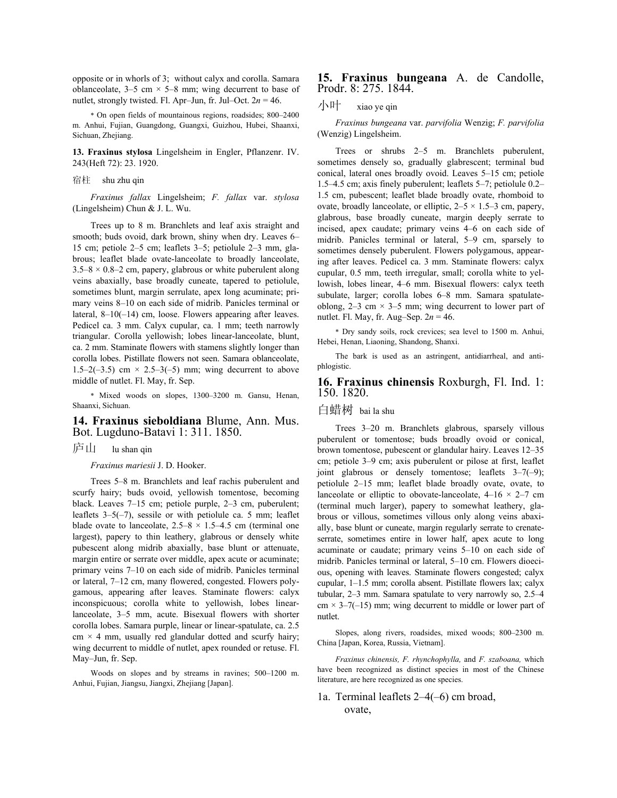opposite or in whorls of 3; without calyx and corolla. Samara oblanceolate,  $3-5$  cm  $\times$  5–8 mm; wing decurrent to base of nutlet, strongly twisted. Fl. Apr–Jun, fr. Jul–Oct.  $2n = 46$ .

\* On open fields of mountainous regions, roadsides; 800–2400 m. Anhui, Fujian, Guangdong, Guangxi, Guizhou, Hubei, Shaanxi, Sichuan, Zhejiang.

**13. Fraxinus stylosa** Lingelsheim in Engler, Pflanzenr. IV. 243(Heft 72): 23. 1920.

宿柱 shu zhu qin

*Fraxinus fallax* Lingelsheim; *F. fallax* var. *stylosa* (Lingelsheim) Chun & J. L. Wu.

 Trees up to 8 m. Branchlets and leaf axis straight and smooth; buds ovoid, dark brown, shiny when dry. Leaves 6– 15 cm; petiole 2–5 cm; leaflets 3–5; petiolule 2–3 mm, glabrous; leaflet blade ovate-lanceolate to broadly lanceolate,  $3.5-8 \times 0.8-2$  cm, papery, glabrous or white puberulent along veins abaxially, base broadly cuneate, tapered to petiolule, sometimes blunt, margin serrulate, apex long acuminate; primary veins 8–10 on each side of midrib. Panicles terminal or lateral, 8–10(–14) cm, loose. Flowers appearing after leaves. Pedicel ca. 3 mm. Calyx cupular, ca. 1 mm; teeth narrowly triangular. Corolla yellowish; lobes linear-lanceolate, blunt, ca. 2 mm. Staminate flowers with stamens slightly longer than corolla lobes. Pistillate flowers not seen. Samara oblanceolate, 1.5–2( $-3.5$ ) cm  $\times$  2.5–3( $-5$ ) mm; wing decurrent to above middle of nutlet. Fl. May, fr. Sep.

\* Mixed woods on slopes, 1300–3200 m. Gansu, Henan, Shaanxi, Sichuan.

### **14. Fraxinus sieboldiana** Blume, Ann. Mus. Bot. Lugduno-Batavi 1: 311. 1850.

## 庐山 lu shan qin

*Fraxinus mariesii* J. D. Hooker.

 Trees 5–8 m. Branchlets and leaf rachis puberulent and scurfy hairy; buds ovoid, yellowish tomentose, becoming black. Leaves 7–15 cm; petiole purple, 2–3 cm, puberulent; leaflets 3–5(–7), sessile or with petiolule ca. 5 mm; leaflet blade ovate to lanceolate,  $2.5-8 \times 1.5-4.5$  cm (terminal one largest), papery to thin leathery, glabrous or densely white pubescent along midrib abaxially, base blunt or attenuate, margin entire or serrate over middle, apex acute or acuminate; primary veins 7–10 on each side of midrib. Panicles terminal or lateral, 7–12 cm, many flowered, congested. Flowers polygamous, appearing after leaves. Staminate flowers: calyx inconspicuous; corolla white to yellowish, lobes linearlanceolate, 3–5 mm, acute. Bisexual flowers with shorter corolla lobes. Samara purple, linear or linear-spatulate, ca. 2.5  $cm \times 4$  mm, usually red glandular dotted and scurfy hairy; wing decurrent to middle of nutlet, apex rounded or retuse. Fl. May–Jun, fr. Sep.

 Woods on slopes and by streams in ravines; 500–1200 m. Anhui, Fujian, Jiangsu, Jiangxi, Zhejiang [Japan].

#### **15. Fraxinus bungeana** A. de Candolle, Prodr. 8: 275. 1844.

### 小叶 xiao ye qin

*Fraxinus bungeana* var. *parvifolia* Wenzig; *F. parvifolia* (Wenzig) Lingelsheim.

 Trees or shrubs 2–5 m. Branchlets puberulent, sometimes densely so, gradually glabrescent; terminal bud conical, lateral ones broadly ovoid. Leaves 5–15 cm; petiole 1.5–4.5 cm; axis finely puberulent; leaflets 5–7; petiolule 0.2– 1.5 cm, pubescent; leaflet blade broadly ovate, rhomboid to ovate, broadly lanceolate, or elliptic,  $2-5 \times 1.5-3$  cm, papery, glabrous, base broadly cuneate, margin deeply serrate to incised, apex caudate; primary veins 4–6 on each side of midrib. Panicles terminal or lateral, 5–9 cm, sparsely to sometimes densely puberulent. Flowers polygamous, appearing after leaves. Pedicel ca. 3 mm. Staminate flowers: calyx cupular, 0.5 mm, teeth irregular, small; corolla white to yellowish, lobes linear, 4–6 mm. Bisexual flowers: calyx teeth subulate, larger; corolla lobes 6–8 mm. Samara spatulateoblong,  $2-3$  cm  $\times$  3-5 mm; wing decurrent to lower part of nutlet. Fl. May, fr. Aug–Sep. 2*n* = 46.

\* Dry sandy soils, rock crevices; sea level to 1500 m. Anhui, Hebei, Henan, Liaoning, Shandong, Shanxi.

 The bark is used as an astringent, antidiarrheal, and antiphlogistic.

#### **16. Fraxinus chinensis** Roxburgh, Fl. Ind. 1: 150. 1820.

白蜡树 bai la shu

 Trees 3–20 m. Branchlets glabrous, sparsely villous puberulent or tomentose; buds broadly ovoid or conical, brown tomentose, pubescent or glandular hairy. Leaves 12–35 cm; petiole 3–9 cm; axis puberulent or pilose at first, leaflet joint glabrous or densely tomentose; leaflets 3–7(–9); petiolule 2–15 mm; leaflet blade broadly ovate, ovate, to lanceolate or elliptic to obovate-lanceolate,  $4-16 \times 2-7$  cm (terminal much larger), papery to somewhat leathery, glabrous or villous, sometimes villous only along veins abaxially, base blunt or cuneate, margin regularly serrate to crenateserrate, sometimes entire in lower half, apex acute to long acuminate or caudate; primary veins 5–10 on each side of midrib. Panicles terminal or lateral, 5–10 cm. Flowers dioecious, opening with leaves. Staminate flowers congested; calyx cupular, 1–1.5 mm; corolla absent. Pistillate flowers lax; calyx tubular, 2–3 mm. Samara spatulate to very narrowly so, 2.5–4  $cm \times 3 - 7(-15)$  mm; wing decurrent to middle or lower part of nutlet.

 Slopes, along rivers, roadsides, mixed woods; 800–2300 m. China [Japan, Korea, Russia, Vietnam].

*Fraxinus chinensis, F. rhynchophylla,* and *F. szaboana,* which have been recognized as distinct species in most of the Chinese literature, are here recognized as one species.

## 1a. Terminal leaflets 2–4(–6) cm broad, ovate,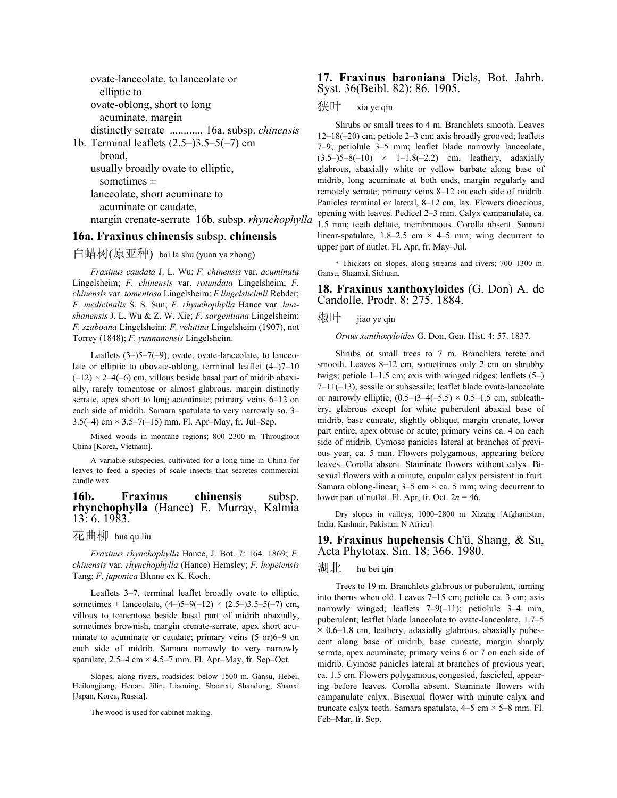ovate-lanceolate, to lanceolate or elliptic to ovate-oblong, short to long acuminate, margin distinctly serrate ............ 16a. subsp. *chinensis* 1b. Terminal leaflets (2.5–)3.5–5(–7) cm broad, usually broadly ovate to elliptic, sometimes  $\pm$  lanceolate, short acuminate to acuminate or caudate, margin crenate-serrate 16b. subsp. *rhynchophylla*

### **16a. Fraxinus chinensis** subsp. **chinensis**

白蜡树(原亚种) bai la shu (yuan ya zhong)

*Fraxinus caudata* J. L. Wu; *F. chinensis* var. *acuminata* Lingelsheim; *F. chinensis* var. *rotundata* Lingelsheim; *F. chinensis* var. *tomentosa* Lingelsheim; *F. lingelsheimii* Rehder; *F. medicinalis* S. S. Sun; *F. rhynchophylla* Hance var. *huashanensis* J. L. Wu & Z. W. Xie; *F. sargentiana* Lingelsheim; *F. szaboana* Lingelsheim; *F. velutina* Lingelsheim (1907), not Torrey (1848); *F. yunnanensis* Lingelsheim.

Leaflets  $(3-)5-7(-9)$ , ovate, ovate-lanceolate, to lanceolate or elliptic to obovate-oblong, terminal leaflet (4–)7–10  $(-12) \times 2-4(-6)$  cm, villous beside basal part of midrib abaxially, rarely tomentose or almost glabrous, margin distinctly serrate, apex short to long acuminate; primary veins 6–12 on each side of midrib. Samara spatulate to very narrowly so, 3–  $3.5(-4)$  cm  $\times$   $3.5-7(-15)$  mm. Fl. Apr-May, fr. Jul-Sep.

 Mixed woods in montane regions; 800–2300 m. Throughout China [Korea, Vietnam].

 A variable subspecies, cultivated for a long time in China for leaves to feed a species of scale insects that secretes commercial candle wax.

#### **16b. Fraxinus chinensis** subsp. **rhynchophylla** (Hance) E. Murray, Kalmia 13: 6. 1983.

## 花曲柳 hua qu liu

*Fraxinus rhynchophylla* Hance, J. Bot. 7: 164. 1869; *F. chinensis* var. *rhynchophylla* (Hance) Hemsley; *F. hopeiensis* Tang; *F. japonica* Blume ex K. Koch.

 Leaflets 3–7, terminal leaflet broadly ovate to elliptic, sometimes  $\pm$  lanceolate, (4–)5–9(–12) × (2.5–)3.5–5(–7) cm, villous to tomentose beside basal part of midrib abaxially, sometimes brownish, margin crenate-serrate, apex short acuminate to acuminate or caudate; primary veins (5 or)6–9 on each side of midrib. Samara narrowly to very narrowly spatulate,  $2.5-4$  cm  $\times$  4.5-7 mm. Fl. Apr-May, fr. Sep-Oct.

 Slopes, along rivers, roadsides; below 1500 m. Gansu, Hebei, Heilongjiang, Henan, Jilin, Liaoning, Shaanxi, Shandong, Shanxi [Japan, Korea, Russia].

The wood is used for cabinet making.

#### **17. Fraxinus baroniana** Diels, Bot. Jahrb. Syst. 36(Beibl. 82): 86. 1905.

狭叶 xia ye qin

 Shrubs or small trees to 4 m. Branchlets smooth. Leaves 12–18(–20) cm; petiole 2–3 cm; axis broadly grooved; leaflets 7–9; petiolule 3–5 mm; leaflet blade narrowly lanceolate,  $(3.5-)5-8(-10) \times 1-1.8(-2.2)$  cm, leathery, adaxially glabrous, abaxially white or yellow barbate along base of midrib, long acuminate at both ends, margin regularly and remotely serrate; primary veins 8–12 on each side of midrib. Panicles terminal or lateral, 8–12 cm, lax. Flowers dioecious, opening with leaves. Pedicel 2–3 mm. Calyx campanulate, ca. 1.5 mm; teeth deltate, membranous. Corolla absent. Samara linear-spatulate,  $1.8-2.5$  cm  $\times$  4-5 mm; wing decurrent to upper part of nutlet. Fl. Apr, fr. May–Jul.

\* Thickets on slopes, along streams and rivers; 700–1300 m. Gansu, Shaanxi, Sichuan.

**18. Fraxinus xanthoxyloides** (G. Don) A. de Candolle, Prodr. 8: 275. 1884.

椒叶 jiao ye qin

*Ornus xanthoxyloides* G. Don, Gen. Hist. 4: 57. 1837.

 Shrubs or small trees to 7 m. Branchlets terete and smooth. Leaves 8–12 cm, sometimes only 2 cm on shrubby twigs; petiole 1–1.5 cm; axis with winged ridges; leaflets (5–) 7–11(–13), sessile or subsessile; leaflet blade ovate-lanceolate or narrowly elliptic,  $(0.5-3-4(-5.5) \times 0.5-1.5$  cm, subleathery, glabrous except for white puberulent abaxial base of midrib, base cuneate, slightly oblique, margin crenate, lower part entire, apex obtuse or acute; primary veins ca. 4 on each side of midrib. Cymose panicles lateral at branches of previous year, ca. 5 mm. Flowers polygamous, appearing before leaves. Corolla absent. Staminate flowers without calyx. Bisexual flowers with a minute, cupular calyx persistent in fruit. Samara oblong-linear,  $3-5$  cm  $\times$  ca. 5 mm; wing decurrent to lower part of nutlet. Fl. Apr, fr. Oct.  $2n = 46$ .

 Dry slopes in valleys; 1000–2800 m. Xizang [Afghanistan, India, Kashmir, Pakistan; N Africa].

**19. Fraxinus hupehensis** Ch'ü, Shang, & Su, Acta Phytotax. Sin. 18: 366. 1980.

#### 湖北 hu bei qin

 Trees to 19 m. Branchlets glabrous or puberulent, turning into thorns when old. Leaves 7–15 cm; petiole ca. 3 cm; axis narrowly winged; leaflets 7–9(–11); petiolule 3–4 mm, puberulent; leaflet blade lanceolate to ovate-lanceolate, 1.7–5  $\times$  0.6–1.8 cm, leathery, adaxially glabrous, abaxially pubescent along base of midrib, base cuneate, margin sharply serrate, apex acuminate; primary veins 6 or 7 on each side of midrib. Cymose panicles lateral at branches of previous year, ca. 1.5 cm. Flowers polygamous, congested, fascicled, appearing before leaves. Corolla absent. Staminate flowers with campanulate calyx. Bisexual flower with minute calyx and truncate calyx teeth. Samara spatulate,  $4-5$  cm  $\times$  5-8 mm. Fl. Feb–Mar, fr. Sep.